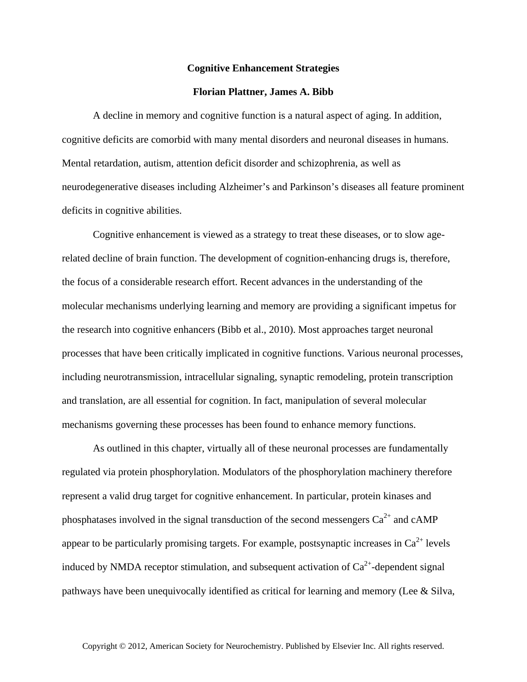## **Cognitive Enhancement Strategies**

## **Florian Plattner, James A. Bibb**

A decline in memory and cognitive function is a natural aspect of aging. In addition, cognitive deficits are comorbid with many mental disorders and neuronal diseases in humans. Mental retardation, autism, attention deficit disorder and schizophrenia, as well as neurodegenerative diseases including Alzheimer's and Parkinson's diseases all feature prominent deficits in cognitive abilities.

Cognitive enhancement is viewed as a strategy to treat these diseases, or to slow agerelated decline of brain function. The development of cognition-enhancing drugs is, therefore, the focus of a considerable research effort. Recent advances in the understanding of the molecular mechanisms underlying learning and memory are providing a significant impetus for the research into cognitive enhancers (Bibb et al., 2010). Most approaches target neuronal processes that have been critically implicated in cognitive functions. Various neuronal processes, including neurotransmission, intracellular signaling, synaptic remodeling, protein transcription and translation, are all essential for cognition. In fact, manipulation of several molecular mechanisms governing these processes has been found to enhance memory functions.

As outlined in this chapter, virtually all of these neuronal processes are fundamentally regulated via protein phosphorylation. Modulators of the phosphorylation machinery therefore represent a valid drug target for cognitive enhancement. In particular, protein kinases and phosphatases involved in the signal transduction of the second messengers  $Ca^{2+}$  and cAMP appear to be particularly promising targets. For example, postsynaptic increases in  $Ca^{2+}$  levels induced by NMDA receptor stimulation, and subsequent activation of  $Ca^{2+}$ -dependent signal pathways have been unequivocally identified as critical for learning and memory (Lee & Silva,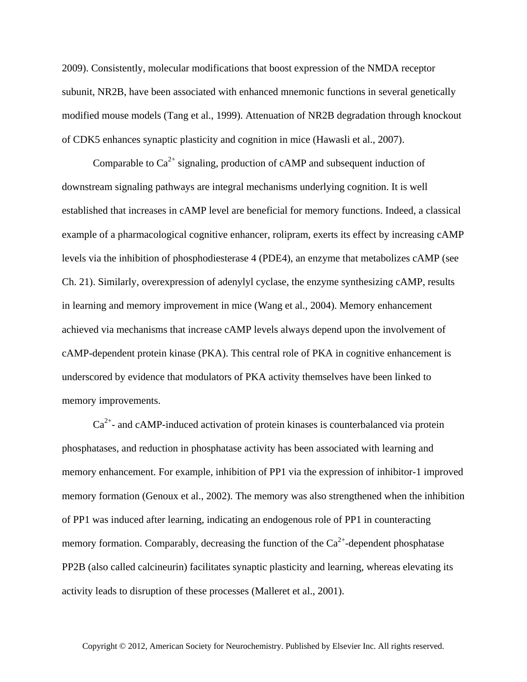2009). Consistently, molecular modifications that boost expression of the NMDA receptor subunit, NR2B, have been associated with enhanced mnemonic functions in several genetically modified mouse models (Tang et al., 1999). Attenuation of NR2B degradation through knockout of CDK5 enhances synaptic plasticity and cognition in mice (Hawasli et al., 2007).

Comparable to  $Ca^{2+}$  signaling, production of cAMP and subsequent induction of downstream signaling pathways are integral mechanisms underlying cognition. It is well established that increases in cAMP level are beneficial for memory functions. Indeed, a classical example of a pharmacological cognitive enhancer, rolipram, exerts its effect by increasing cAMP levels via the inhibition of phosphodiesterase 4 (PDE4), an enzyme that metabolizes cAMP (see Ch. 21). Similarly, overexpression of adenylyl cyclase, the enzyme synthesizing cAMP, results in learning and memory improvement in mice (Wang et al., 2004). Memory enhancement achieved via mechanisms that increase cAMP levels always depend upon the involvement of cAMP-dependent protein kinase (PKA). This central role of PKA in cognitive enhancement is underscored by evidence that modulators of PKA activity themselves have been linked to memory improvements.

 $Ca<sup>2+</sup>$ - and cAMP-induced activation of protein kinases is counterbalanced via protein phosphatases, and reduction in phosphatase activity has been associated with learning and memory enhancement. For example, inhibition of PP1 via the expression of inhibitor-1 improved memory formation (Genoux et al., 2002). The memory was also strengthened when the inhibition of PP1 was induced after learning, indicating an endogenous role of PP1 in counteracting memory formation. Comparably, decreasing the function of the  $Ca<sup>2+</sup>$ -dependent phosphatase PP2B (also called calcineurin) facilitates synaptic plasticity and learning, whereas elevating its activity leads to disruption of these processes (Malleret et al., 2001).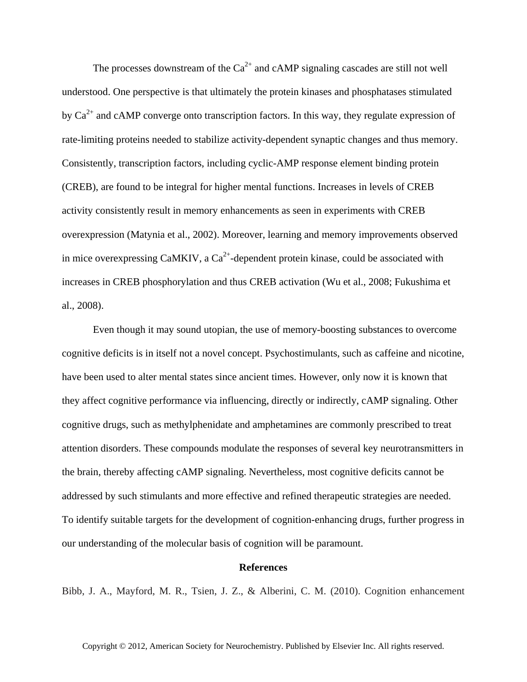The processes downstream of the  $Ca^{2+}$  and cAMP signaling cascades are still not well understood. One perspective is that ultimately the protein kinases and phosphatases stimulated by  $Ca^{2+}$  and cAMP converge onto transcription factors. In this way, they regulate expression of rate-limiting proteins needed to stabilize activity-dependent synaptic changes and thus memory. Consistently, transcription factors, including cyclic-AMP response element binding protein (CREB), are found to be integral for higher mental functions. Increases in levels of CREB activity consistently result in memory enhancements as seen in experiments with CREB overexpression (Matynia et al., 2002). Moreover, learning and memory improvements observed in mice overexpressing CaMKIV, a  $Ca^{2+}$ -dependent protein kinase, could be associated with increases in CREB phosphorylation and thus CREB activation (Wu et al., 2008; Fukushima et al., 2008).

Even though it may sound utopian, the use of memory-boosting substances to overcome cognitive deficits is in itself not a novel concept. Psychostimulants, such as caffeine and nicotine, have been used to alter mental states since ancient times. However, only now it is known that they affect cognitive performance via influencing, directly or indirectly, cAMP signaling. Other cognitive drugs, such as methylphenidate and amphetamines are commonly prescribed to treat attention disorders. These compounds modulate the responses of several key neurotransmitters in the brain, thereby affecting cAMP signaling. Nevertheless, most cognitive deficits cannot be addressed by such stimulants and more effective and refined therapeutic strategies are needed. To identify suitable targets for the development of cognition-enhancing drugs, further progress in our understanding of the molecular basis of cognition will be paramount.

## **References**

Bibb, J. A., Mayford, M. R., Tsien, J. Z., & Alberini, C. M. (2010). Cognition enhancement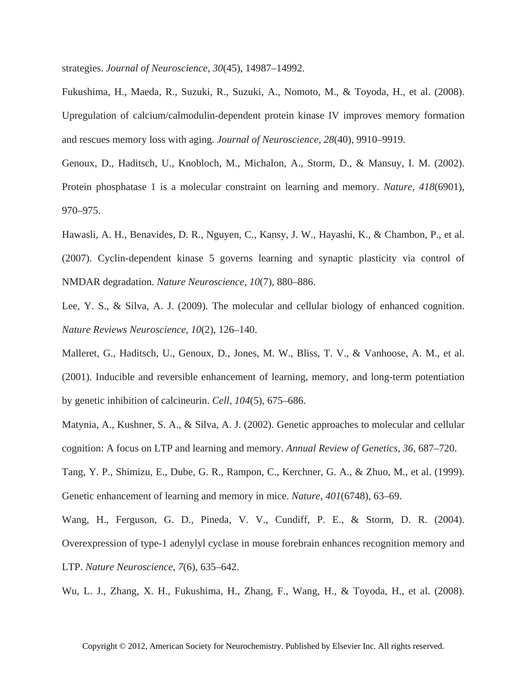strategies. *Journal of Neuroscience*, *30*(45), 14987–14992.

Fukushima, H., Maeda, R., Suzuki, R., Suzuki, A., Nomoto, M., & Toyoda, H., et al. (2008). Upregulation of calcium/calmodulin-dependent protein kinase IV improves memory formation and rescues memory loss with aging. *Journal of Neuroscience*, *28*(40), 9910–9919.

Genoux, D., Haditsch, U., Knobloch, M., Michalon, A., Storm, D., & Mansuy, I. M. (2002). Protein phosphatase 1 is a molecular constraint on learning and memory. *Nature*, *418*(6901), 970–975.

Hawasli, A. H., Benavides, D. R., Nguyen, C., Kansy, J. W., Hayashi, K., & Chambon, P., et al. (2007). Cyclin-dependent kinase 5 governs learning and synaptic plasticity via control of NMDAR degradation. *Nature Neuroscience*, *10*(7), 880–886.

Lee, Y. S., & Silva, A. J. (2009). The molecular and cellular biology of enhanced cognition. *Nature Reviews Neuroscience*, *10*(2), 126–140.

Malleret, G., Haditsch, U., Genoux, D., Jones, M. W., Bliss, T. V., & Vanhoose, A. M., et al. (2001). Inducible and reversible enhancement of learning, memory, and long-term potentiation by genetic inhibition of calcineurin. *Cell*, *104*(5), 675–686.

Matynia, A., Kushner, S. A., & Silva, A. J. (2002). Genetic approaches to molecular and cellular cognition: A focus on LTP and learning and memory. *Annual Review of Genetics*, *36*, 687–720.

Tang, Y. P., Shimizu, E., Dube, G. R., Rampon, C., Kerchner, G. A., & Zhuo, M., et al. (1999). Genetic enhancement of learning and memory in mice. *Nature*, *401*(6748), 63–69.

Wang, H., Ferguson, G. D., Pineda, V. V., Cundiff, P. E., & Storm, D. R. (2004). Overexpression of type-1 adenylyl cyclase in mouse forebrain enhances recognition memory and LTP. *Nature Neuroscience*, *7*(6), 635–642.

Wu, L. J., Zhang, X. H., Fukushima, H., Zhang, F., Wang, H., & Toyoda, H., et al. (2008).